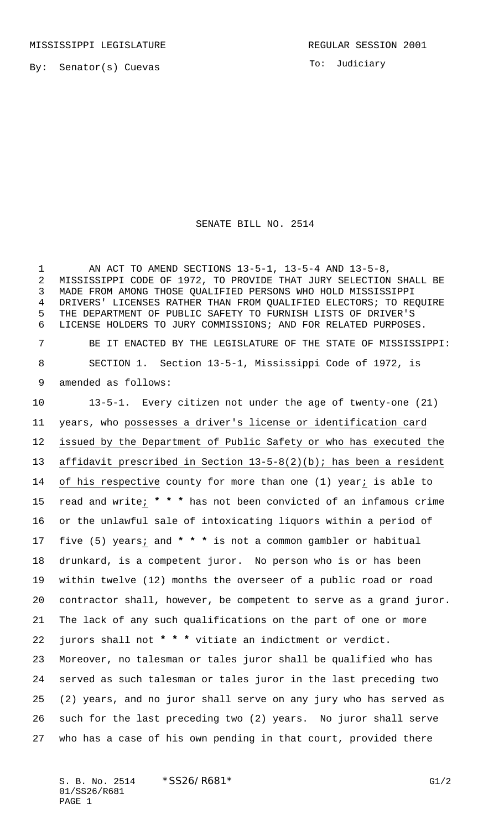MISSISSIPPI LEGISLATURE **REGULAR SESSION 2001** 

By: Senator(s) Cuevas

To: Judiciary

SENATE BILL NO. 2514

 AN ACT TO AMEND SECTIONS 13-5-1, 13-5-4 AND 13-5-8, MISSISSIPPI CODE OF 1972, TO PROVIDE THAT JURY SELECTION SHALL BE MADE FROM AMONG THOSE QUALIFIED PERSONS WHO HOLD MISSISSIPPI DRIVERS' LICENSES RATHER THAN FROM QUALIFIED ELECTORS; TO REQUIRE THE DEPARTMENT OF PUBLIC SAFETY TO FURNISH LISTS OF DRIVER'S LICENSE HOLDERS TO JURY COMMISSIONS; AND FOR RELATED PURPOSES. BE IT ENACTED BY THE LEGISLATURE OF THE STATE OF MISSISSIPPI: SECTION 1. Section 13-5-1, Mississippi Code of 1972, is amended as follows: 13-5-1. Every citizen not under the age of twenty-one (21) years, who possesses a driver's license or identification card issued by the Department of Public Safety or who has executed the affidavit prescribed in Section 13-5-8(2)(b); has been a resident 14 of his respective county for more than one (1) year; is able to read and write; **\* \* \*** has not been convicted of an infamous crime or the unlawful sale of intoxicating liquors within a period of five (5) years; and **\* \* \*** is not a common gambler or habitual drunkard, is a competent juror. No person who is or has been within twelve (12) months the overseer of a public road or road contractor shall, however, be competent to serve as a grand juror. The lack of any such qualifications on the part of one or more jurors shall not **\* \* \*** vitiate an indictment or verdict. Moreover, no talesman or tales juror shall be qualified who has served as such talesman or tales juror in the last preceding two (2) years, and no juror shall serve on any jury who has served as such for the last preceding two (2) years. No juror shall serve who has a case of his own pending in that court, provided there

S. B. No. 2514 \* SS26/R681\* G1/2 01/SS26/R681 PAGE 1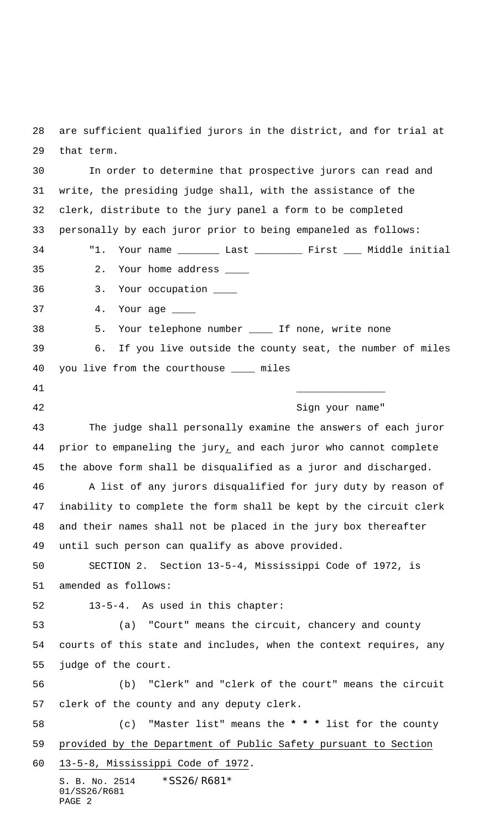are sufficient qualified jurors in the district, and for trial at that term.

S. B. No. 2514 \* SS26/R681\* 01/SS26/R681 In order to determine that prospective jurors can read and write, the presiding judge shall, with the assistance of the clerk, distribute to the jury panel a form to be completed personally by each juror prior to being empaneled as follows: "1. Your name \_\_\_\_\_\_\_ Last \_\_\_\_\_\_\_\_ First \_\_\_ Middle initial 35 2. Your home address \_\_\_\_ 36 3. Your occupation \_\_\_\_ 37 4. Your age \_\_\_\_ 38 5. Your telephone number \_\_\_\_ If none, write none 39 6. If you live outside the county seat, the number of miles you live from the courthouse \_\_\_\_ miles 41 \_\_\_\_\_\_\_\_\_\_\_\_\_\_\_ 42 Sign your name" The judge shall personally examine the answers of each juror prior to empaneling the jury, and each juror who cannot complete the above form shall be disqualified as a juror and discharged. A list of any jurors disqualified for jury duty by reason of inability to complete the form shall be kept by the circuit clerk and their names shall not be placed in the jury box thereafter until such person can qualify as above provided. SECTION 2. Section 13-5-4, Mississippi Code of 1972, is amended as follows: 13-5-4. As used in this chapter: (a) "Court" means the circuit, chancery and county courts of this state and includes, when the context requires, any judge of the court. (b) "Clerk" and "clerk of the court" means the circuit clerk of the county and any deputy clerk. (c) "Master list" means the **\* \* \*** list for the county provided by the Department of Public Safety pursuant to Section 13-5-8, Mississippi Code of 1972.

PAGE 2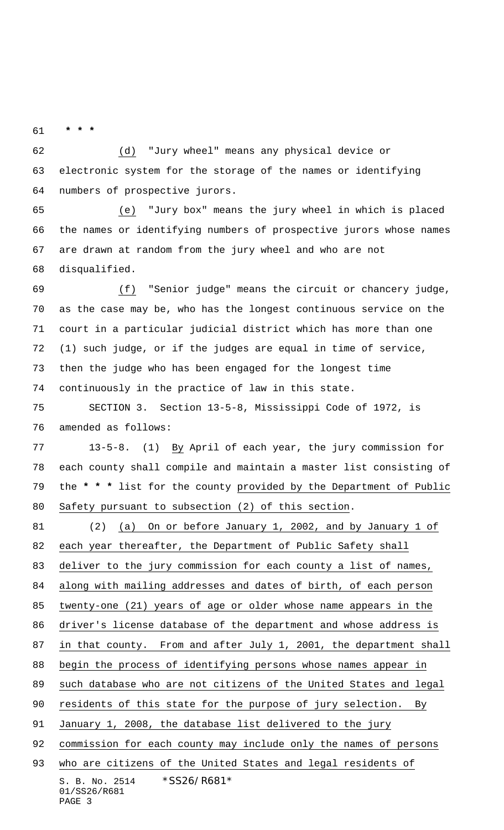**\* \* \***

 (d) "Jury wheel" means any physical device or electronic system for the storage of the names or identifying numbers of prospective jurors.

 (e) "Jury box" means the jury wheel in which is placed the names or identifying numbers of prospective jurors whose names are drawn at random from the jury wheel and who are not disqualified.

 (f) "Senior judge" means the circuit or chancery judge, as the case may be, who has the longest continuous service on the court in a particular judicial district which has more than one (1) such judge, or if the judges are equal in time of service, then the judge who has been engaged for the longest time continuously in the practice of law in this state.

 SECTION 3. Section 13-5-8, Mississippi Code of 1972, is amended as follows:

 13-5-8. (1) By April of each year, the jury commission for each county shall compile and maintain a master list consisting of the **\* \* \*** list for the county provided by the Department of Public Safety pursuant to subsection (2) of this section.

S. B. No. 2514 \*SS26/R681\* (2) (a) On or before January 1, 2002, and by January 1 of each year thereafter, the Department of Public Safety shall deliver to the jury commission for each county a list of names, along with mailing addresses and dates of birth, of each person twenty-one (21) years of age or older whose name appears in the driver's license database of the department and whose address is in that county. From and after July 1, 2001, the department shall begin the process of identifying persons whose names appear in such database who are not citizens of the United States and legal residents of this state for the purpose of jury selection. By January 1, 2008, the database list delivered to the jury 92 commission for each county may include only the names of persons 93 who are citizens of the United States and legal residents of

```
01/SS26/R681
PAGE 3
```